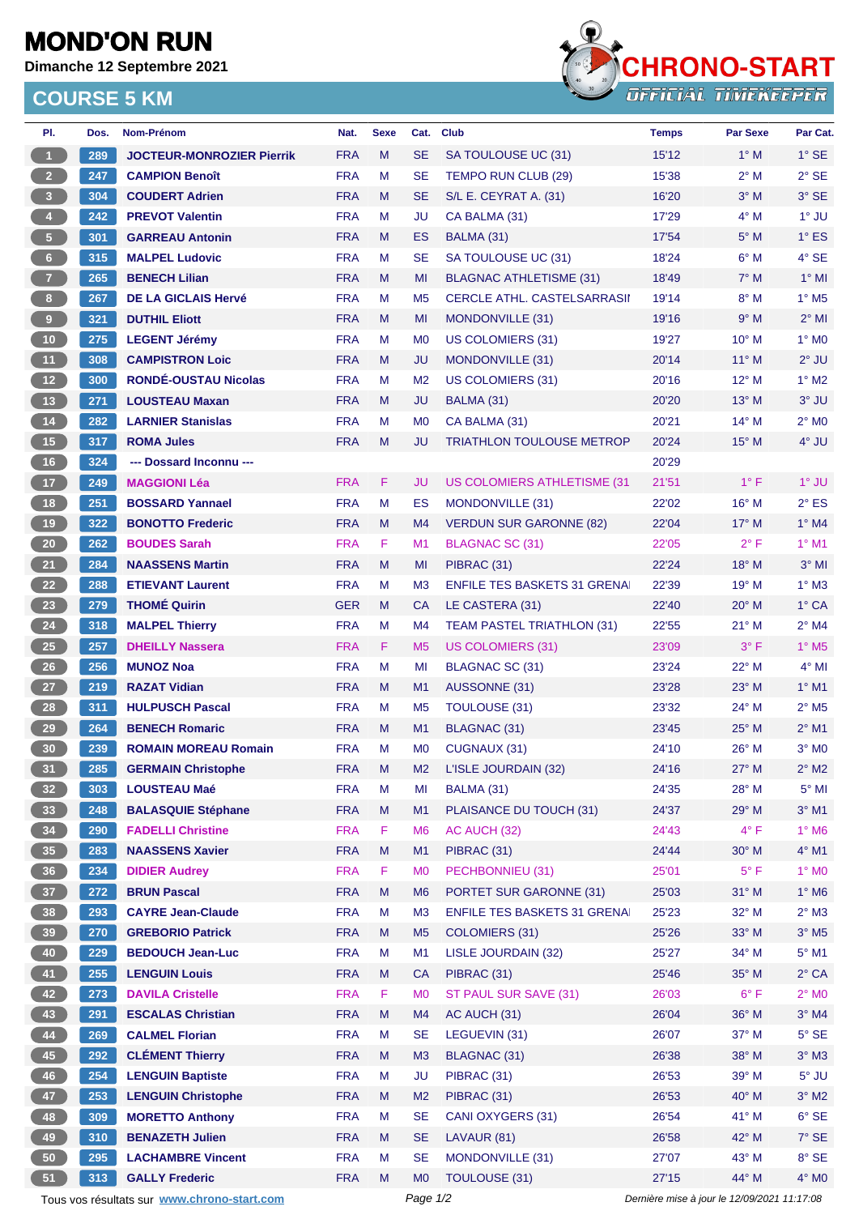## **MOND'ON RUN**

**Dimanche 12 Septembre 2021**

## **COURSE 5 KM**



| PI.                     | Dos.                                        | Nom-Prénom                       | Nat.       | <b>Sexe</b> | Cat.           | <b>Club</b>                                 | <b>Temps</b> | <b>Par Sexe</b> | Par Cat.                   |
|-------------------------|---------------------------------------------|----------------------------------|------------|-------------|----------------|---------------------------------------------|--------------|-----------------|----------------------------|
| $\mathbf{1}$            | 289                                         | <b>JOCTEUR-MONROZIER Pierrik</b> | <b>FRA</b> | M           | <b>SE</b>      | SA TOULOUSE UC (31)                         | 15'12        | $1^\circ$ M     | $1^\circ$ SE               |
| 2 <sup>7</sup>          | 247                                         | <b>CAMPION Benoît</b>            | <b>FRA</b> | M           | <b>SE</b>      | TEMPO RUN CLUB (29)                         | 15'38        | 2° M            | $2^{\circ}$ SE             |
| $\overline{\mathbf{3}}$ | 304                                         | <b>COUDERT Adrien</b>            | <b>FRA</b> | M           | <b>SE</b>      | S/L E. CEYRAT A. (31)                       | 16'20        | $3^\circ$ M     | 3° SE                      |
| 4 <sup>1</sup>          | 242                                         | <b>PREVOT Valentin</b>           | <b>FRA</b> | M           | JU             | CA BALMA (31)                               | 17'29        | $4^\circ$ M     | 1° JU                      |
| 5 <sub>1</sub>          | 301                                         | <b>GARREAU Antonin</b>           | <b>FRA</b> | M           | <b>ES</b>      | BALMA (31)                                  | 17'54        | $5^\circ$ M     | $1^\circ$ ES               |
| $6-1$                   | 315                                         | <b>MALPEL Ludovic</b>            | <b>FRA</b> | M           | <b>SE</b>      | SA TOULOUSE UC (31)                         | 18'24        | $6^\circ$ M     | 4° SE                      |
| 7 <sup>2</sup>          | 265                                         | <b>BENECH Lilian</b>             | <b>FRA</b> | M           | MI             | <b>BLAGNAC ATHLETISME (31)</b>              | 18'49        | $7^\circ$ M     | $1°$ MI                    |
| 8 <sub>1</sub>          | 267                                         | <b>DE LA GICLAIS Hervé</b>       | <b>FRA</b> | M           | M <sub>5</sub> | <b>CERCLE ATHL. CASTELSARRASII</b>          | 19'14        | $8^\circ$ M     | $1^\circ$ M <sub>5</sub>   |
| $\boldsymbol{9}$        | 321                                         | <b>DUTHIL Eliott</b>             | <b>FRA</b> | M           | MI             | MONDONVILLE (31)                            | 19'16        | 9° M            | $2^{\circ}$ MI             |
| 10                      | 275                                         | <b>LEGENT Jérémy</b>             | <b>FRA</b> | M           | M <sub>0</sub> | US COLOMIERS (31)                           | 19'27        | $10^{\circ}$ M  | $1^\circ$ MO               |
| 11 <sub>1</sub>         | 308                                         | <b>CAMPISTRON Loic</b>           | <b>FRA</b> | M           | <b>JU</b>      | MONDONVILLE (31)                            | 20'14        | $11^{\circ}$ M  | $2^{\circ}$ JU             |
| 12                      | 300                                         | <b>RONDÉ-OUSTAU Nicolas</b>      | <b>FRA</b> | M           | M <sub>2</sub> | US COLOMIERS (31)                           | 20'16        | $12^{\circ}$ M  | $1^\circ$ M2               |
| 13                      | 271                                         | <b>LOUSTEAU Maxan</b>            | <b>FRA</b> | M           | <b>JU</b>      | BALMA (31)                                  | 20'20        | $13^{\circ}$ M  | $3°$ JU                    |
| 14                      | 282                                         | <b>LARNIER Stanislas</b>         | <b>FRA</b> | M           | M <sub>0</sub> | CA BALMA (31)                               | 20'21        | $14^{\circ}$ M  | $2^{\circ}$ MO             |
| 15                      | 317                                         | <b>ROMA Jules</b>                | <b>FRA</b> | M           | JU             | <b>TRIATHLON TOULOUSE METROP</b>            | 20'24        | 15° M           | 4° JU                      |
| 16                      | 324                                         | --- Dossard Inconnu ---          |            |             |                |                                             | 20'29        |                 |                            |
| 17                      | 249                                         | <b>MAGGIONI Léa</b>              | <b>FRA</b> | F           | JU             | <b>US COLOMIERS ATHLETISME (31)</b>         | 21'51        | $1^{\circ}$ F   | $1^\circ$ JU               |
| 18                      | 251                                         | <b>BOSSARD Yannael</b>           | <b>FRA</b> | M           | ES             | MONDONVILLE (31)                            | 22'02        | $16^{\circ}$ M  | $2^{\circ}$ ES             |
| 19                      | 322                                         | <b>BONOTTO Frederic</b>          | <b>FRA</b> | M           | M4             | <b>VERDUN SUR GARONNE (82)</b>              | 22'04        | $17^{\circ}$ M  | $1^\circ$ M4               |
| ${\bf 20}$              | 262                                         | <b>BOUDES Sarah</b>              | <b>FRA</b> | F           | M1             | <b>BLAGNAC SC (31)</b>                      | 22'05        | $2^{\circ}$ F   | $1^\circ$ M1               |
| 21                      | 284                                         | <b>NAASSENS Martin</b>           | <b>FRA</b> | M           | MI             | PIBRAC (31)                                 | 22'24        | $18^{\circ}$ M  | $3°$ MI                    |
| 22                      | 288                                         | <b>ETIEVANT Laurent</b>          | <b>FRA</b> | M           | M <sub>3</sub> | <b>ENFILE TES BASKETS 31 GRENAI</b>         | 22'39        | $19^{\circ}$ M  | $1^\circ$ M3               |
| 23                      | 279                                         | <b>THOMÉ Quirin</b>              | <b>GER</b> | M           | <b>CA</b>      | LE CASTERA (31)                             | 22'40        | $20^\circ$ M    | 1° CA                      |
| 24                      | 318                                         | <b>MALPEL Thierry</b>            | <b>FRA</b> | M           | M4             | TEAM PASTEL TRIATHLON (31)                  | 22'55        | $21^{\circ}$ M  | $2^{\circ}$ M4             |
| ${\bf 25}$              | 257                                         | <b>DHEILLY Nassera</b>           | <b>FRA</b> | F           | M <sub>5</sub> | US COLOMIERS (31)                           | 23'09        | $3^\circ$ F     | $1^\circ$ M <sub>5</sub>   |
| 26                      | 256                                         | <b>MUNOZ Noa</b>                 | <b>FRA</b> | M           | MI             | BLAGNAC SC (31)                             | 23'24        | $22^{\circ}$ M  | $4^{\circ}$ MI             |
| 27                      | 219                                         | <b>RAZAT Vidian</b>              | <b>FRA</b> | M           | M1             | AUSSONNE (31)                               | 23'28        | $23^\circ$ M    | $1^\circ$ M1               |
| 28                      | 311                                         | <b>HULPUSCH Pascal</b>           | <b>FRA</b> | M           | M <sub>5</sub> | TOULOUSE (31)                               | 23'32        | 24° M           | $2^{\circ}$ M <sub>5</sub> |
|                         | 264                                         | <b>BENECH Romaric</b>            | <b>FRA</b> | M           | M1             | BLAGNAC (31)                                | 23'45        | $25^{\circ}$ M  | $2^{\circ}$ M1             |
| 29                      | 239                                         |                                  | <b>FRA</b> | M           | M <sub>0</sub> | CUGNAUX (31)                                | 24'10        | 26° M           | $3^\circ$ MO               |
| 30                      |                                             | <b>ROMAIN MOREAU Romain</b>      |            |             |                |                                             |              |                 |                            |
| 31                      | 285                                         | <b>GERMAIN Christophe</b>        | <b>FRA</b> | M           | M <sub>2</sub> | L'ISLE JOURDAIN (32)                        | 24'16        | 27° M           | $2^{\circ}$ M2             |
| 32 <sup>°</sup>         | 303                                         | <b>LOUSTEAU Maé</b>              | <b>FRA</b> | M           | MI             | BALMA (31)                                  | 24'35        | 28° M           | $5^\circ$ MI               |
| 33                      | 248                                         | <b>BALASQUIE Stéphane</b>        | <b>FRA</b> | M           | M1             | PLAISANCE DU TOUCH (31)                     | 24'37        | 29° M           | $3°$ M1                    |
| 34                      | 290                                         | <b>FADELLI Christine</b>         | <b>FRA</b> | F           | M <sub>6</sub> | AC AUCH (32)                                | 24'43        | $4^{\circ}$ F   | 1° M6                      |
| 35                      | 283                                         | <b>NAASSENS Xavier</b>           | <b>FRA</b> | M           | M1             | PIBRAC (31)                                 | 24'44        | $30^\circ$ M    | $4^\circ$ M1               |
| 36 <sup>°</sup>         | 234                                         | <b>DIDIER Audrey</b>             | <b>FRA</b> | F           | M <sub>0</sub> | PECHBONNIEU (31)                            | 25'01        | $5^{\circ}$ F   | 1° MO                      |
| 37 <sup>°</sup>         | 272                                         | <b>BRUN Pascal</b>               | <b>FRA</b> | M           | M <sub>6</sub> | <b>PORTET SUR GARONNE (31)</b>              | 25'03        | 31° M           | $1^\circ$ M6               |
| 38                      | 293                                         | <b>CAYRE Jean-Claude</b>         | <b>FRA</b> | M           | M <sub>3</sub> | <b>ENFILE TES BASKETS 31 GRENAI</b>         | 25'23        | 32° M           | $2^{\circ}$ M3             |
| 39                      | 270                                         | <b>GREBORIO Patrick</b>          | <b>FRA</b> | M           | M <sub>5</sub> | <b>COLOMIERS (31)</b>                       | 25'26        | $33^\circ$ M    | $3^\circ$ M5               |
| 40                      | 229                                         | <b>BEDOUCH Jean-Luc</b>          | <b>FRA</b> | M           | M1             | LISLE JOURDAIN (32)                         | 25'27        | 34° M           | $5^{\circ}$ M1             |
| 41                      | 255                                         | <b>LENGUIN Louis</b>             | <b>FRA</b> | M           | <b>CA</b>      | PIBRAC (31)                                 | 25'46        | $35^\circ$ M    | $2^{\circ}$ CA             |
| 42                      | 273                                         | <b>DAVILA Cristelle</b>          | <b>FRA</b> | F           | M <sub>0</sub> | ST PAUL SUR SAVE (31)                       | 26'03        | $6^{\circ}$ F   | $2^{\circ}$ MO             |
| 43                      | 291                                         | <b>ESCALAS Christian</b>         | <b>FRA</b> | M           | M4             | AC AUCH (31)                                | 26'04        | 36° M           | $3°$ M4                    |
| 44                      | 269                                         | <b>CALMEL Florian</b>            | <b>FRA</b> | M           | <b>SE</b>      | LEGUEVIN (31)                               | 26'07        | 37° M           | $5^{\circ}$ SE             |
| 45                      | 292                                         | <b>CLÉMENT Thierry</b>           | <b>FRA</b> | M           | M3             | BLAGNAC (31)                                | 26'38        | 38° M           | $3^\circ$ M3               |
| 46                      | 254                                         | <b>LENGUIN Baptiste</b>          | <b>FRA</b> | M           | JU             | PIBRAC (31)                                 | 26'53        | 39° M           | $5^\circ$ JU               |
| 47                      | 253                                         | <b>LENGUIN Christophe</b>        | <b>FRA</b> | M           | M <sub>2</sub> | PIBRAC (31)                                 | 26'53        | 40° M           | $3^\circ$ M2               |
| 48                      | 309                                         | <b>MORETTO Anthony</b>           | <b>FRA</b> | M           | <b>SE</b>      | CANI OXYGERS (31)                           | 26'54        | 41° M           | $6°$ SE                    |
| 49                      | 310                                         | <b>BENAZETH Julien</b>           | <b>FRA</b> | M           | <b>SE</b>      | LAVAUR (81)                                 | 26'58        | 42° M           | 7° SE                      |
| ${\bf 50}$              | 295                                         | <b>LACHAMBRE Vincent</b>         | <b>FRA</b> | M           | <b>SE</b>      | MONDONVILLE (31)                            | 27'07        | 43° M           | 8° SE                      |
| 51                      | 313                                         | <b>GALLY Frederic</b>            | <b>FRA</b> | M           | MO             | TOULOUSE (31)                               | 27'15        | 44° M           | $4^\circ$ MO               |
|                         | Tous vos résultats sur www.chrono-start.com |                                  | Page 1/2   |             |                | Dernière mise à jour le 12/09/2021 11:17:08 |              |                 |                            |